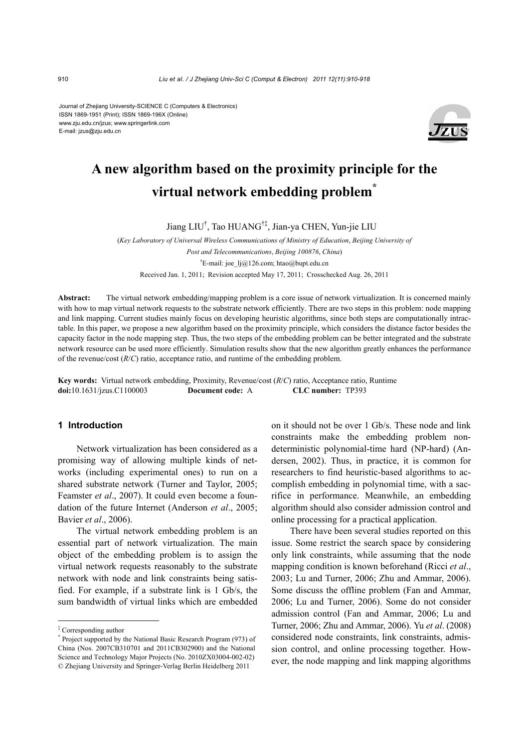Journal of Zhejiang University-SCIENCE C (Computers & Electronics) ISSN 1869-1951 (Print); ISSN 1869-196X (Online) www.zju.edu.cn/jzus; www.springerlink.com E-mail: jzus@zju.edu.cn



# **A new algorithm based on the proximity principle for the virtual network embedding problem\***

Jiang LIU† , Tao HUANG†‡, Jian-ya CHEN, Yun-jie LIU

(*Key Laboratory of Universal Wireless Communications of Ministry of Education*, *Beijing University of Post and Telecommunications*, *Beijing 100876*, *China*) † E-mail: joe\_lj@126.com; htao@bupt.edu.cn

Received Jan. 1, 2011; Revision accepted May 17, 2011; Crosschecked Aug. 26, 2011

**Abstract:** The virtual network embedding/mapping problem is a core issue of network virtualization. It is concerned mainly with how to map virtual network requests to the substrate network efficiently. There are two steps in this problem: node mapping and link mapping. Current studies mainly focus on developing heuristic algorithms, since both steps are computationally intractable. In this paper, we propose a new algorithm based on the proximity principle, which considers the distance factor besides the capacity factor in the node mapping step. Thus, the two steps of the embedding problem can be better integrated and the substrate network resource can be used more efficiently. Simulation results show that the new algorithm greatly enhances the performance of the revenue/cost (*R*/*C*) ratio, acceptance ratio, and runtime of the embedding problem.

**Key words:** Virtual network embedding, Proximity, Revenue/cost (*R*/*C*) ratio, Acceptance ratio, Runtime **doi:**10.1631/jzus.C1100003 **Document code:** A **CLC number:** TP393

# **1 Introduction**

Network virtualization has been considered as a promising way of allowing multiple kinds of networks (including experimental ones) to run on a shared substrate network (Turner and Taylor, 2005; Feamster *et al*., 2007). It could even become a foundation of the future Internet (Anderson *et al*., 2005; Bavier *et al*., 2006).

The virtual network embedding problem is an essential part of network virtualization. The main object of the embedding problem is to assign the virtual network requests reasonably to the substrate network with node and link constraints being satisfied. For example, if a substrate link is 1 Gb/s, the sum bandwidth of virtual links which are embedded

on it should not be over 1 Gb/s. These node and link constraints make the embedding problem nondeterministic polynomial-time hard (NP-hard) (Andersen, 2002). Thus, in practice, it is common for researchers to find heuristic-based algorithms to accomplish embedding in polynomial time, with a sacrifice in performance. Meanwhile, an embedding algorithm should also consider admission control and online processing for a practical application.

There have been several studies reported on this issue. Some restrict the search space by considering only link constraints, while assuming that the node mapping condition is known beforehand (Ricci *et al*., 2003; Lu and Turner, 2006; Zhu and Ammar, 2006). Some discuss the offline problem (Fan and Ammar, 2006; Lu and Turner, 2006). Some do not consider admission control (Fan and Ammar, 2006; Lu and Turner, 2006; Zhu and Ammar, 2006). Yu *et al*. (2008) considered node constraints, link constraints, admission control, and online processing together. However, the node mapping and link mapping algorithms

<sup>‡</sup> Corresponding author

<sup>\*</sup> Project supported by the National Basic Research Program (973) of China (Nos. 2007CB310701 and 2011CB302900) and the National Science and Technology Major Projects (No. 2010ZX03004-002-02) © Zhejiang University and Springer-Verlag Berlin Heidelberg 2011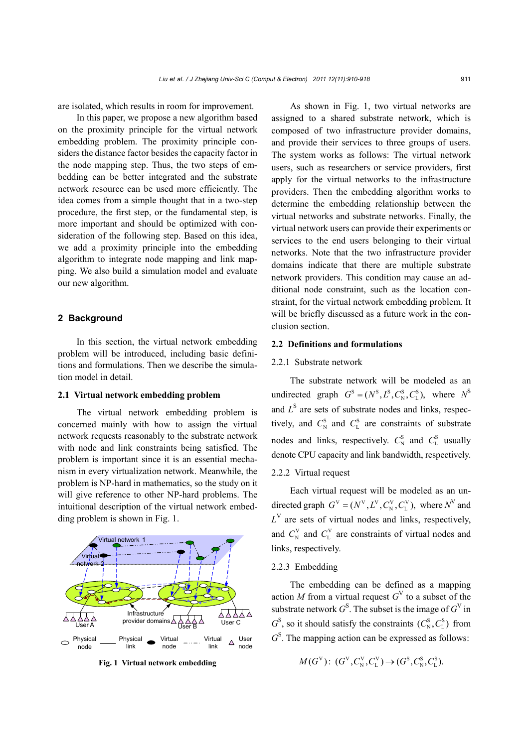are isolated, which results in room for improvement.

In this paper, we propose a new algorithm based on the proximity principle for the virtual network embedding problem. The proximity principle considers the distance factor besides the capacity factor in the node mapping step. Thus, the two steps of embedding can be better integrated and the substrate network resource can be used more efficiently. The idea comes from a simple thought that in a two-step procedure, the first step, or the fundamental step, is more important and should be optimized with consideration of the following step. Based on this idea, we add a proximity principle into the embedding algorithm to integrate node mapping and link mapping. We also build a simulation model and evaluate our new algorithm.

# **2 Background**

In this section, the virtual network embedding problem will be introduced, including basic definitions and formulations. Then we describe the simulation model in detail.

# **2.1 Virtual network embedding problem**

The virtual network embedding problem is concerned mainly with how to assign the virtual network requests reasonably to the substrate network with node and link constraints being satisfied. The problem is important since it is an essential mechanism in every virtualization network. Meanwhile, the problem is NP-hard in mathematics, so the study on it will give reference to other NP-hard problems. The intuitional description of the virtual network embedding problem is shown in Fig. 1.



**Fig. 1 Virtual network embedding** 

As shown in Fig. 1, two virtual networks are assigned to a shared substrate network, which is composed of two infrastructure provider domains, and provide their services to three groups of users. The system works as follows: The virtual network users, such as researchers or service providers, first apply for the virtual networks to the infrastructure providers. Then the embedding algorithm works to determine the embedding relationship between the virtual networks and substrate networks. Finally, the virtual network users can provide their experiments or services to the end users belonging to their virtual networks. Note that the two infrastructure provider domains indicate that there are multiple substrate network providers. This condition may cause an additional node constraint, such as the location constraint, for the virtual network embedding problem. It will be briefly discussed as a future work in the conclusion section.

# **2.2 Definitions and formulations**

#### 2.2.1 Substrate network

The substrate network will be modeled as an undirected graph  $G^S = (N^S, L^S, C_N^S, C_L^S)$ , where  $N^S$ and  $L<sup>S</sup>$  are sets of substrate nodes and links, respectively, and  $C_{\text{N}}^{\text{S}}$  and  $C_{\text{L}}^{\text{S}}$  are constraints of substrate nodes and links, respectively.  $C_N^S$  and  $C_L^S$  usually denote CPU capacity and link bandwidth, respectively.

# 2.2.2 Virtual request

Each virtual request will be modeled as an undirected graph  $G^V = (N^V, L^V, C_N^V, C_L^V)$ , where  $N^V$  and  $L^V$  are sets of virtual nodes and links, respectively, and  $C_N^V$  and  $C_L^V$  are constraints of virtual nodes and links, respectively.

# 2.2.3 Embedding

The embedding can be defined as a mapping action *M* from a virtual request  $G<sup>V</sup>$  to a subset of the substrate network  $G^S$ . The subset is the image of  $G^V$  in  $G^S$ , so it should satisfy the constraints  $(C^S_N, C^S_L)$  from  $G<sup>S</sup>$ . The mapping action can be expressed as follows:

$$
M(G^V)
$$
:  $(G^V, C_N^V, C_L^V) \rightarrow (G^S, C_N^S, C_L^S)$ .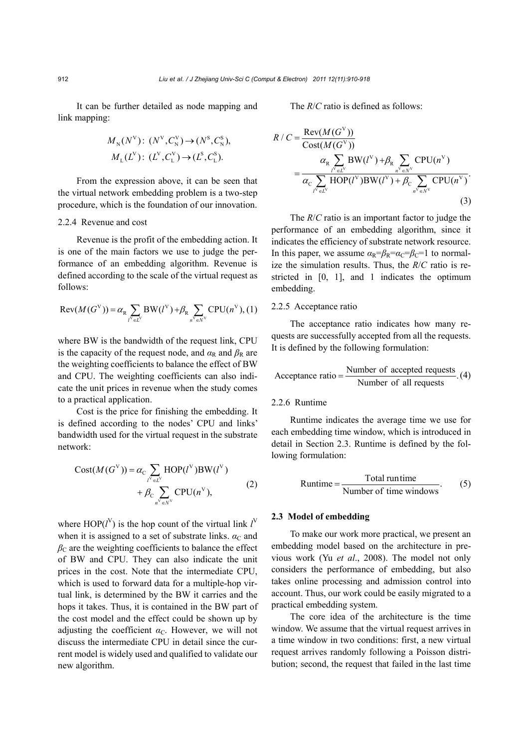It can be further detailed as node mapping and link mapping:

$$
M_N(N^V): (N^V, C_N^V) \to (N^S, C_N^S),
$$
  

$$
M_L(L^V): (L^V, C_L^V) \to (L^S, C_L^S).
$$

From the expression above, it can be seen that the virtual network embedding problem is a two-step procedure, which is the foundation of our innovation.

# 2.2.4 Revenue and cost

Revenue is the profit of the embedding action. It is one of the main factors we use to judge the performance of an embedding algorithm. Revenue is defined according to the scale of the virtual request as follows:

$$
Rev(M(GV)) = \alpha_R \sum_{l' \in LV} BW(lV) + \beta_R \sum_{n' \in NV} CPU(nV), (1)
$$

where BW is the bandwidth of the request link, CPU is the capacity of the request node, and  $\alpha_R$  and  $\beta_R$  are the weighting coefficients to balance the effect of BW and CPU. The weighting coefficients can also indicate the unit prices in revenue when the study comes to a practical application.

Cost is the price for finishing the embedding. It is defined according to the nodes' CPU and links' bandwidth used for the virtual request in the substrate network:

$$
Cost(M(GV)) = \alpha_c \sum_{l'' \in L^V} HOP(l^V)BW(l^V) + \beta_c \sum_{n'' \in N^V} CPU(n^V),
$$
 (2)

where  $HOP(l^V)$  is the hop count of the virtual link  $l^V$ when it is assigned to a set of substrate links.  $\alpha_C$  and  $\beta_c$  are the weighting coefficients to balance the effect of BW and CPU. They can also indicate the unit prices in the cost. Note that the intermediate CPU, which is used to forward data for a multiple-hop virtual link, is determined by the BW it carries and the hops it takes. Thus, it is contained in the BW part of the cost model and the effect could be shown up by adjusting the coefficient  $\alpha_C$ . However, we will not discuss the intermediate CPU in detail since the current model is widely used and qualified to validate our new algorithm.

The *R*/*C* ratio is defined as follows:

$$
R/C = \frac{\text{Rev}(M(G^V))}{\text{Cost}(M(G^V))}
$$
  
= 
$$
\frac{\alpha_R \sum_{l^V \in L^V} \text{BW}(l^V) + \beta_R \sum_{n^V \in N^V} \text{CPU}(n^V)}{\alpha_C \sum_{l^V \in L^V} \text{HOP}(l^V) \text{BW}(l^V) + \beta_C \sum_{n^V \in N^V} \text{CPU}(n^V)}.
$$
 (3)

The *R*/*C* ratio is an important factor to judge the performance of an embedding algorithm, since it indicates the efficiency of substrate network resource. In this paper, we assume  $\alpha_R = \beta_R = \alpha_C = \beta_C = 1$  to normalize the simulation results. Thus, the *R*/*C* ratio is restricted in [0, 1], and 1 indicates the optimum embedding.

# 2.2.5 Acceptance ratio

The acceptance ratio indicates how many requests are successfully accepted from all the requests. It is defined by the following formulation:

Acceptance ratio = 
$$
\frac{\text{Number of accepted requests}}{\text{Number of all requests}}.(4)
$$

# 2.2.6 Runtime

Runtime indicates the average time we use for each embedding time window, which is introduced in detail in Section 2.3. Runtime is defined by the following formulation:

$$
Runtime = \frac{\text{Total runtime}}{\text{Number of time windows}}.\tag{5}
$$

# **2.3 Model of embedding**

To make our work more practical, we present an embedding model based on the architecture in previous work (Yu *et al*., 2008). The model not only considers the performance of embedding, but also takes online processing and admission control into account. Thus, our work could be easily migrated to a practical embedding system.

The core idea of the architecture is the time window. We assume that the virtual request arrives in a time window in two conditions: first, a new virtual request arrives randomly following a Poisson distribution; second, the request that failed in the last time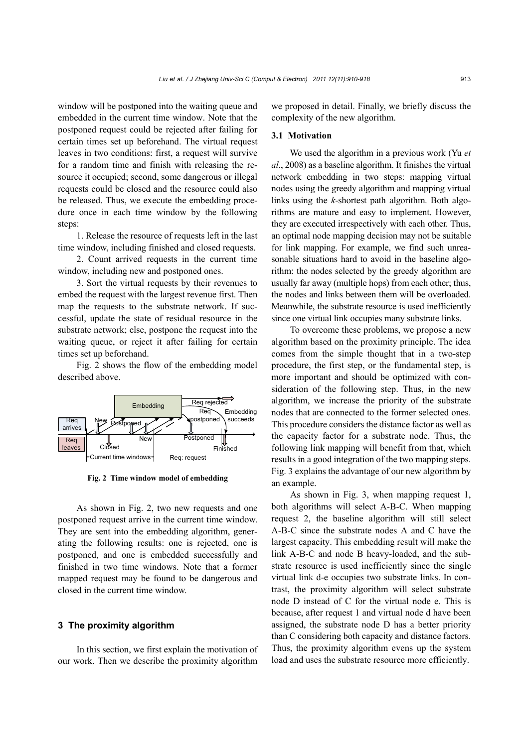window will be postponed into the waiting queue and embedded in the current time window. Note that the postponed request could be rejected after failing for certain times set up beforehand. The virtual request leaves in two conditions: first, a request will survive for a random time and finish with releasing the resource it occupied; second, some dangerous or illegal requests could be closed and the resource could also be released. Thus, we execute the embedding procedure once in each time window by the following steps:

1. Release the resource of requests left in the last time window, including finished and closed requests.

2. Count arrived requests in the current time window, including new and postponed ones.

3. Sort the virtual requests by their revenues to embed the request with the largest revenue first. Then map the requests to the substrate network. If successful, update the state of residual resource in the substrate network; else, postpone the request into the waiting queue, or reject it after failing for certain times set up beforehand.

Fig. 2 shows the flow of the embedding model described above.



**Fig. 2 Time window model of embedding** 

As shown in Fig. 2, two new requests and one postponed request arrive in the current time window. They are sent into the embedding algorithm, generating the following results: one is rejected, one is postponed, and one is embedded successfully and finished in two time windows. Note that a former mapped request may be found to be dangerous and closed in the current time window.

# **3 The proximity algorithm**

In this section, we first explain the motivation of our work. Then we describe the proximity algorithm

we proposed in detail. Finally, we briefly discuss the complexity of the new algorithm.

# **3.1 Motivation**

We used the algorithm in a previous work (Yu *et al*., 2008) as a baseline algorithm. It finishes the virtual network embedding in two steps: mapping virtual nodes using the greedy algorithm and mapping virtual links using the *k*-shortest path algorithm. Both algorithms are mature and easy to implement. However, they are executed irrespectively with each other. Thus, an optimal node mapping decision may not be suitable for link mapping. For example, we find such unreasonable situations hard to avoid in the baseline algorithm: the nodes selected by the greedy algorithm are usually far away (multiple hops) from each other; thus, the nodes and links between them will be overloaded. Meanwhile, the substrate resource is used inefficiently since one virtual link occupies many substrate links.

To overcome these problems, we propose a new algorithm based on the proximity principle. The idea comes from the simple thought that in a two-step procedure, the first step, or the fundamental step, is more important and should be optimized with consideration of the following step. Thus, in the new algorithm, we increase the priority of the substrate nodes that are connected to the former selected ones. This procedure considers the distance factor as well as the capacity factor for a substrate node. Thus, the following link mapping will benefit from that, which results in a good integration of the two mapping steps. Fig. 3 explains the advantage of our new algorithm by an example.

As shown in Fig. 3, when mapping request 1, both algorithms will select A-B-C. When mapping request 2, the baseline algorithm will still select A-B-C since the substrate nodes A and C have the largest capacity. This embedding result will make the link A-B-C and node B heavy-loaded, and the substrate resource is used inefficiently since the single virtual link d-e occupies two substrate links. In contrast, the proximity algorithm will select substrate node D instead of C for the virtual node e. This is because, after request 1 and virtual node d have been assigned, the substrate node D has a better priority than C considering both capacity and distance factors. Thus, the proximity algorithm evens up the system load and uses the substrate resource more efficiently.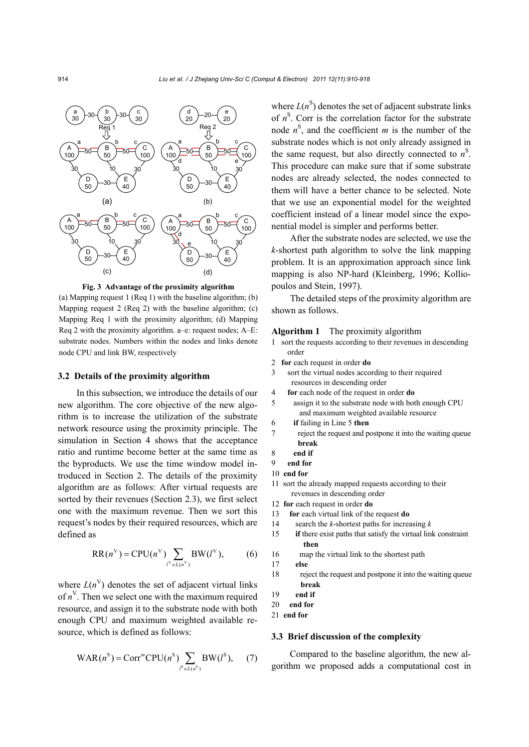

**Fig. 3 Advantage of the proximity algorithm** 

(a) Mapping request 1 (Req 1) with the baseline algorithm; (b) Mapping request 2 (Req 2) with the baseline algorithm; (c) Mapping Req 1 with the proximity algorithm; (d) Mapping Req 2 with the proximity algorithm. a–e: request nodes; A–E: substrate nodes. Numbers within the nodes and links denote node CPU and link BW, respectively

# **3.2 Details of the proximity algorithm**

In this subsection, we introduce the details of our new algorithm. The core objective of the new algorithm is to increase the utilization of the substrate network resource using the proximity principle. The simulation in Section 4 shows that the acceptance ratio and runtime become better at the same time as the byproducts. We use the time window model introduced in Section 2. The details of the proximity algorithm are as follows: After virtual requests are sorted by their revenues (Section 2.3), we first select one with the maximum revenue. Then we sort this request's nodes by their required resources, which are defined as

$$
RR(n^{V}) = CPU(n^{V}) \sum_{l^{V} \in L(n^{V})} BW(l^{V}), \qquad (6)
$$

where  $L(n^V)$  denotes the set of adjacent virtual links of  $n^V$ . Then we select one with the maximum required resource, and assign it to the substrate node with both enough CPU and maximum weighted available resource, which is defined as follows:

$$
\text{WAR}(n^{\text{S}}) = \text{Corr}^{m} \text{CPU}(n^{\text{S}}) \sum_{i^{\text{S}} \in L(n^{\text{S}})} \text{BW}(l^{\text{S}}), \quad (7)
$$

where  $L(n^S)$  denotes the set of adjacent substrate links of  $n^S$ . Corr is the correlation factor for the substrate node  $n^S$ , and the coefficient *m* is the number of the substrate nodes which is not only already assigned in the same request, but also directly connected to  $n<sup>S</sup>$ . This procedure can make sure that if some substrate nodes are already selected, the nodes connected to them will have a better chance to be selected. Note that we use an exponential model for the weighted coefficient instead of a linear model since the exponential model is simpler and performs better.

After the substrate nodes are selected, we use the *k*-shortest path algorithm to solve the link mapping problem. It is an approximation approach since link mapping is also NP-hard (Kleinberg, 1996; Kolliopoulos and Stein, 1997).

The detailed steps of the proximity algorithm are shown as follows.

# **Algorithm 1** The proximity algorithm

- 1 sort the requests according to their revenues in descending order
- 2 **for** each request in order **do**
- 3 sort the virtual nodes according to their required resources in descending order
- 4 **for** each node of the request in order **do**
- 5 assign it to the substrate node with both enough CPU and maximum weighted available resource
- 6 **if** failing in Line 5 **then**
- 7 reject the request and postpone it into the waiting queue **break**
- 8 **end if**
- 9 **end for**
- 10 **end for**
- 11 sort the already mapped requests according to their revenues in descending order
- 12 **for** each request in order **do**
- 13 **for** each virtual link of the request **do**
- 14 search the *k*-shortest paths for increasing *k*
- 15 **if** there exist paths that satisfy the virtual link constraint **then**
- 16 map the virtual link to the shortest path
- 17 **else**
- 18 reject the request and postpone it into the waiting queue **break**
- 19 **end if**
- 20 **end for**
- 21 **end for**

#### **3.3 Brief discussion of the complexity**

Compared to the baseline algorithm, the new algorithm we proposed adds a computational cost in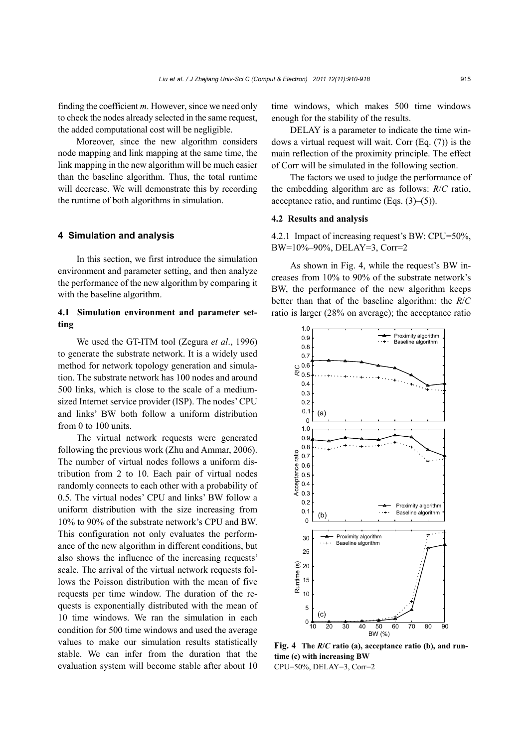finding the coefficient *m*. However, since we need only to check the nodes already selected in the same request, the added computational cost will be negligible.

Moreover, since the new algorithm considers node mapping and link mapping at the same time, the link mapping in the new algorithm will be much easier than the baseline algorithm. Thus, the total runtime will decrease. We will demonstrate this by recording the runtime of both algorithms in simulation.

# **4 Simulation and analysis**

In this section, we first introduce the simulation environment and parameter setting, and then analyze the performance of the new algorithm by comparing it with the baseline algorithm.

# **4.1 Simulation environment and parameter setting**

We used the GT-ITM tool (Zegura *et al*., 1996) to generate the substrate network. It is a widely used method for network topology generation and simulation. The substrate network has 100 nodes and around 500 links, which is close to the scale of a mediumsized Internet service provider (ISP). The nodes' CPU and links' BW both follow a uniform distribution from 0 to 100 units.

The virtual network requests were generated following the previous work (Zhu and Ammar, 2006). The number of virtual nodes follows a uniform distribution from 2 to 10. Each pair of virtual nodes randomly connects to each other with a probability of 0.5. The virtual nodes' CPU and links' BW follow a uniform distribution with the size increasing from 10% to 90% of the substrate network's CPU and BW. This configuration not only evaluates the performance of the new algorithm in different conditions, but also shows the influence of the increasing requests' scale. The arrival of the virtual network requests follows the Poisson distribution with the mean of five requests per time window. The duration of the requests is exponentially distributed with the mean of 10 time windows. We ran the simulation in each condition for 500 time windows and used the average values to make our simulation results statistically stable. We can infer from the duration that the evaluation system will become stable after about 10 time windows, which makes 500 time windows enough for the stability of the results.

DELAY is a parameter to indicate the time windows a virtual request will wait. Corr (Eq. (7)) is the main reflection of the proximity principle. The effect of Corr will be simulated in the following section.

The factors we used to judge the performance of the embedding algorithm are as follows: *R*/*C* ratio, acceptance ratio, and runtime (Eqs.  $(3)$ – $(5)$ ).

#### **4.2 Results and analysis**

4.2.1 Impact of increasing request's BW: CPU=50%, BW=10%–90%, DELAY=3, Corr=2

As shown in Fig. 4, while the request's BW increases from 10% to 90% of the substrate network's BW, the performance of the new algorithm keeps better than that of the baseline algorithm: the *R*/*C* ratio is larger (28% on average); the acceptance ratio



**Fig. 4 The** *R***/***C* **ratio (a), acceptance ratio (b), and runtime (c) with increasing BW**  CPU=50%, DELAY=3, Corr=2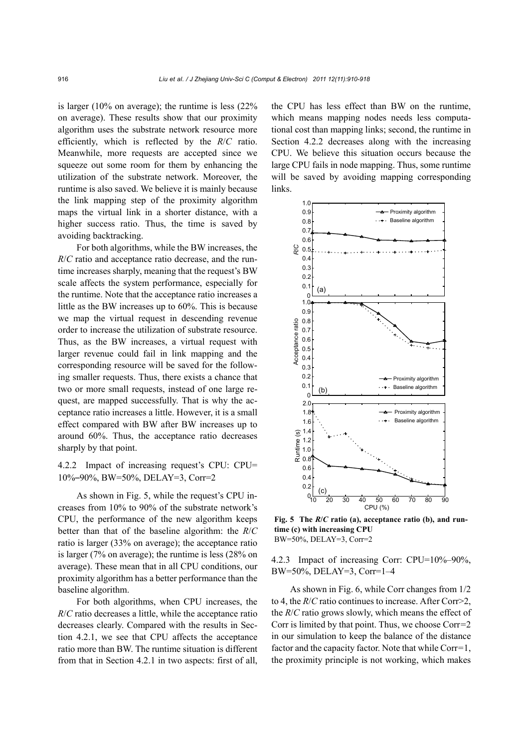is larger (10% on average); the runtime is less (22% on average). These results show that our proximity algorithm uses the substrate network resource more efficiently, which is reflected by the *R*/*C* ratio. Meanwhile, more requests are accepted since we squeeze out some room for them by enhancing the utilization of the substrate network. Moreover, the runtime is also saved. We believe it is mainly because the link mapping step of the proximity algorithm maps the virtual link in a shorter distance, with a higher success ratio. Thus, the time is saved by avoiding backtracking.

For both algorithms, while the BW increases, the *R*/*C* ratio and acceptance ratio decrease, and the runtime increases sharply, meaning that the request's BW scale affects the system performance, especially for the runtime. Note that the acceptance ratio increases a little as the BW increases up to 60%. This is because we map the virtual request in descending revenue order to increase the utilization of substrate resource. Thus, as the BW increases, a virtual request with larger revenue could fail in link mapping and the corresponding resource will be saved for the following smaller requests. Thus, there exists a chance that two or more small requests, instead of one large request, are mapped successfully. That is why the acceptance ratio increases a little. However, it is a small effect compared with BW after BW increases up to around 60%. Thus, the acceptance ratio decreases sharply by that point.

4.2.2 Impact of increasing request's CPU: CPU= 10%–90%, BW=50%, DELAY=3, Corr=2

As shown in Fig. 5, while the request's CPU increases from 10% to 90% of the substrate network's CPU, the performance of the new algorithm keeps better than that of the baseline algorithm: the *R*/*C* ratio is larger (33% on average); the acceptance ratio is larger (7% on average); the runtime is less (28% on average). These mean that in all CPU conditions, our proximity algorithm has a better performance than the baseline algorithm.

For both algorithms, when CPU increases, the *R*/*C* ratio decreases a little, while the acceptance ratio decreases clearly. Compared with the results in Section 4.2.1, we see that CPU affects the acceptance ratio more than BW. The runtime situation is different from that in Section 4.2.1 in two aspects: first of all,

the CPU has less effect than BW on the runtime, which means mapping nodes needs less computational cost than mapping links; second, the runtime in Section 4.2.2 decreases along with the increasing CPU. We believe this situation occurs because the large CPU fails in node mapping. Thus, some runtime will be saved by avoiding mapping corresponding links.



**Fig. 5 The** *R***/***C* **ratio (a), acceptance ratio (b), and runtime (c) with increasing CPU**  BW=50%, DELAY=3, Corr=2

4.2.3 Impact of increasing Corr: CPU=10%–90%, BW=50%, DELAY=3, Corr=1–4

As shown in Fig. 6, while Corr changes from 1/2 to 4, the *R*/*C* ratio continues to increase. After Corr>2, the *R*/*C* ratio grows slowly, which means the effect of Corr is limited by that point. Thus, we choose Corr*=*2 in our simulation to keep the balance of the distance factor and the capacity factor. Note that while Corr*=*1, the proximity principle is not working, which makes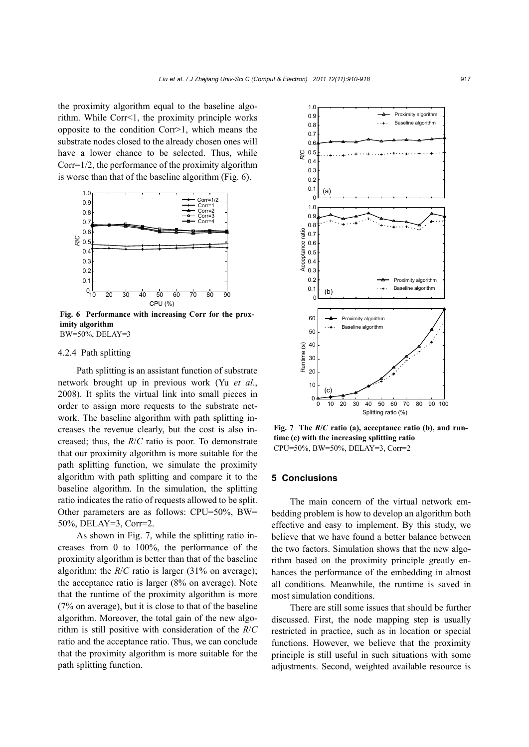the proximity algorithm equal to the baseline algorithm. While Corr<1, the proximity principle works opposite to the condition Corr>1, which means the substrate nodes closed to the already chosen ones will have a lower chance to be selected. Thus, while Corr=1/2, the performance of the proximity algorithm is worse than that of the baseline algorithm (Fig. 6).



**Fig. 6 Performance with increasing Corr for the proximity algorithm**  BW=50%, DELAY=3

#### 4.2.4 Path splitting

Path splitting is an assistant function of substrate network brought up in previous work (Yu *et al*., 2008). It splits the virtual link into small pieces in order to assign more requests to the substrate network. The baseline algorithm with path splitting increases the revenue clearly, but the cost is also increased; thus, the *R*/*C* ratio is poor. To demonstrate that our proximity algorithm is more suitable for the path splitting function, we simulate the proximity algorithm with path splitting and compare it to the baseline algorithm. In the simulation, the splitting ratio indicates the ratio of requests allowed to be split. Other parameters are as follows: CPU=50%, BW= 50%, DELAY=3, Corr=2.

As shown in Fig. 7, while the splitting ratio increases from 0 to 100%, the performance of the proximity algorithm is better than that of the baseline algorithm: the *R*/*C* ratio is larger (31% on average); the acceptance ratio is larger (8% on average). Note that the runtime of the proximity algorithm is more (7% on average), but it is close to that of the baseline algorithm. Moreover, the total gain of the new algorithm is still positive with consideration of the *R*/*C* ratio and the acceptance ratio. Thus, we can conclude that the proximity algorithm is more suitable for the path splitting function.



**Fig. 7 The** *R***/***C* **ratio (a), acceptance ratio (b), and runtime (c) with the increasing splitting ratio**  CPU=50%, BW=50%, DELAY=3, Corr=2

# **5 Conclusions**

The main concern of the virtual network embedding problem is how to develop an algorithm both effective and easy to implement. By this study, we believe that we have found a better balance between the two factors. Simulation shows that the new algorithm based on the proximity principle greatly enhances the performance of the embedding in almost all conditions. Meanwhile, the runtime is saved in most simulation conditions.

There are still some issues that should be further discussed. First, the node mapping step is usually restricted in practice, such as in location or special functions. However, we believe that the proximity principle is still useful in such situations with some adjustments. Second, weighted available resource is